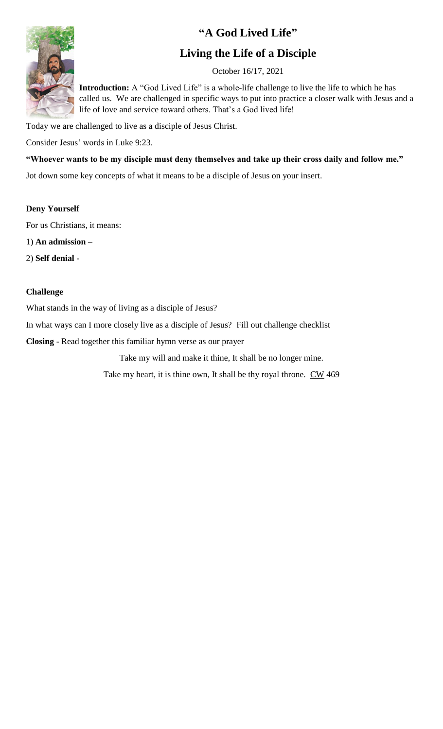## **"A God Lived Life"**



### **Living the Life of a Disciple**

October 16/17, 2021

**Introduction:** A "God Lived Life" is a whole-life challenge to live the life to which he has called us. We are challenged in specific ways to put into practice a closer walk with Jesus and a life of love and service toward others. That's a God lived life!

Today we are challenged to live as a disciple of Jesus Christ.

Consider Jesus' words in Luke 9:23.

**"Whoever wants to be my disciple must deny themselves and take up their cross daily and follow me."**

Jot down some key concepts of what it means to be a disciple of Jesus on your insert.

#### **Deny Yourself**

For us Christians, it means:

1) **An admission –**

2) **Self denial** -

#### **Challenge**

What stands in the way of living as a disciple of Jesus?

In what ways can I more closely live as a disciple of Jesus? Fill out challenge checklist

**Closing -** Read together this familiar hymn verse as our prayer

Take my will and make it thine, It shall be no longer mine.

Take my heart, it is thine own, It shall be thy royal throne. CW 469